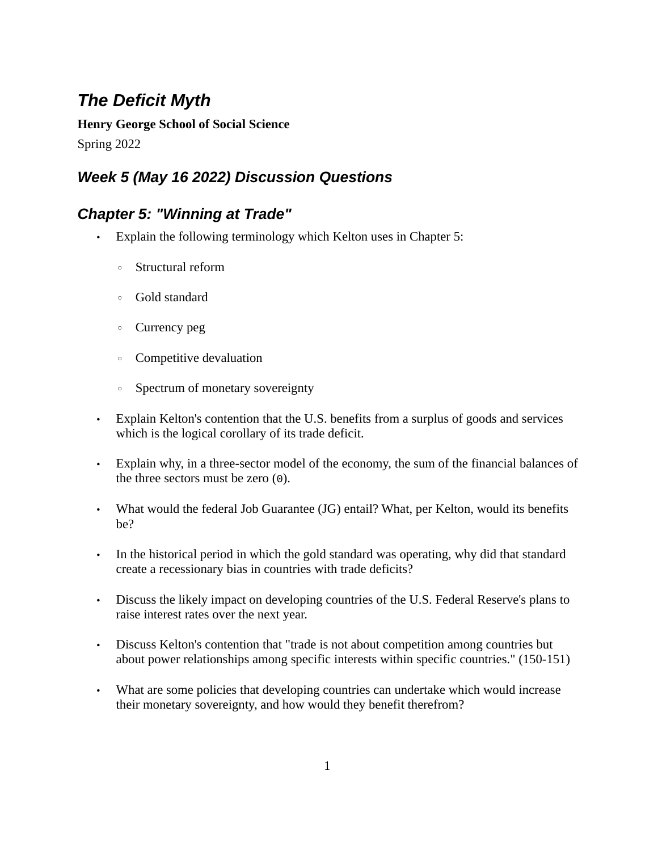## *The Deficit Myth*

**Henry George School of Social Science** Spring 2022

## *Week 5 (May 16 2022) Discussion Questions*

## *Chapter 5: "Winning at Trade"*

- Explain the following terminology which Kelton uses in Chapter 5:
	- Structural reform
	- Gold standard
	- Currency peg
	- Competitive devaluation
	- Spectrum of monetary sovereignty
- Explain Kelton's contention that the U.S. benefits from a surplus of goods and services which is the logical corollary of its trade deficit.
- Explain why, in a three-sector model of the economy, the sum of the financial balances of the three sectors must be zero  $(0)$ .
- What would the federal Job Guarantee (JG) entail? What, per Kelton, would its benefits be?
- In the historical period in which the gold standard was operating, why did that standard create a recessionary bias in countries with trade deficits?
- Discuss the likely impact on developing countries of the U.S. Federal Reserve's plans to raise interest rates over the next year.
- Discuss Kelton's contention that "trade is not about competition among countries but about power relationships among specific interests within specific countries." (150-151)
- What are some policies that developing countries can undertake which would increase their monetary sovereignty, and how would they benefit therefrom?